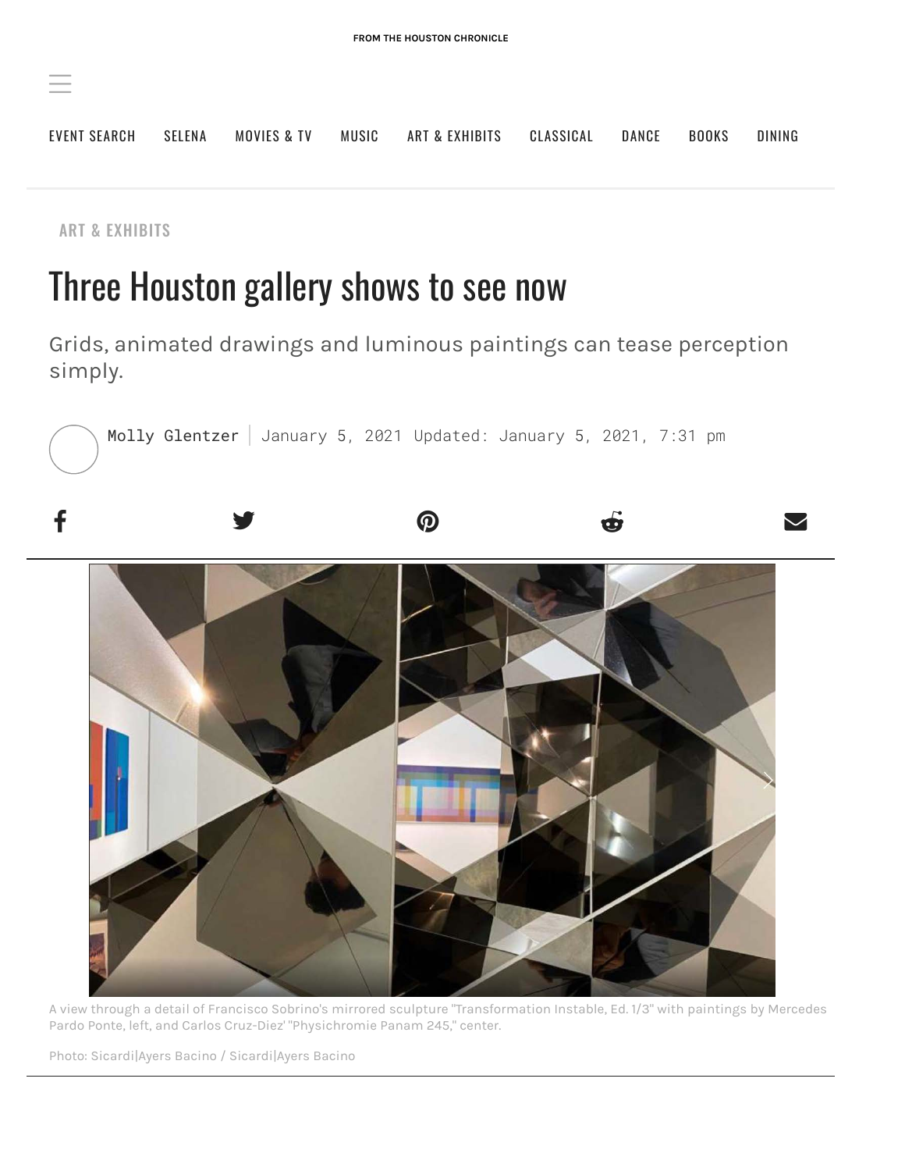

[ART & EXHIBITS](https://preview.houstonchronicle.com/category/art-exhibits)

# Three Houston gallery shows to see now

Grids, animated drawings and luminous paintings can tease perception simply.





A view through a detail of Francisco Sobrino's mirrored sculpture "Transformation Instable, Ed. 1/3" with paintings by Mercedes Pardo Ponte, left, and Carlos Cruz-Diez' "Physichromie Panam 245," center.

Photo: Sicardi|Ayers Bacino / Sicardi|Ayers Bacino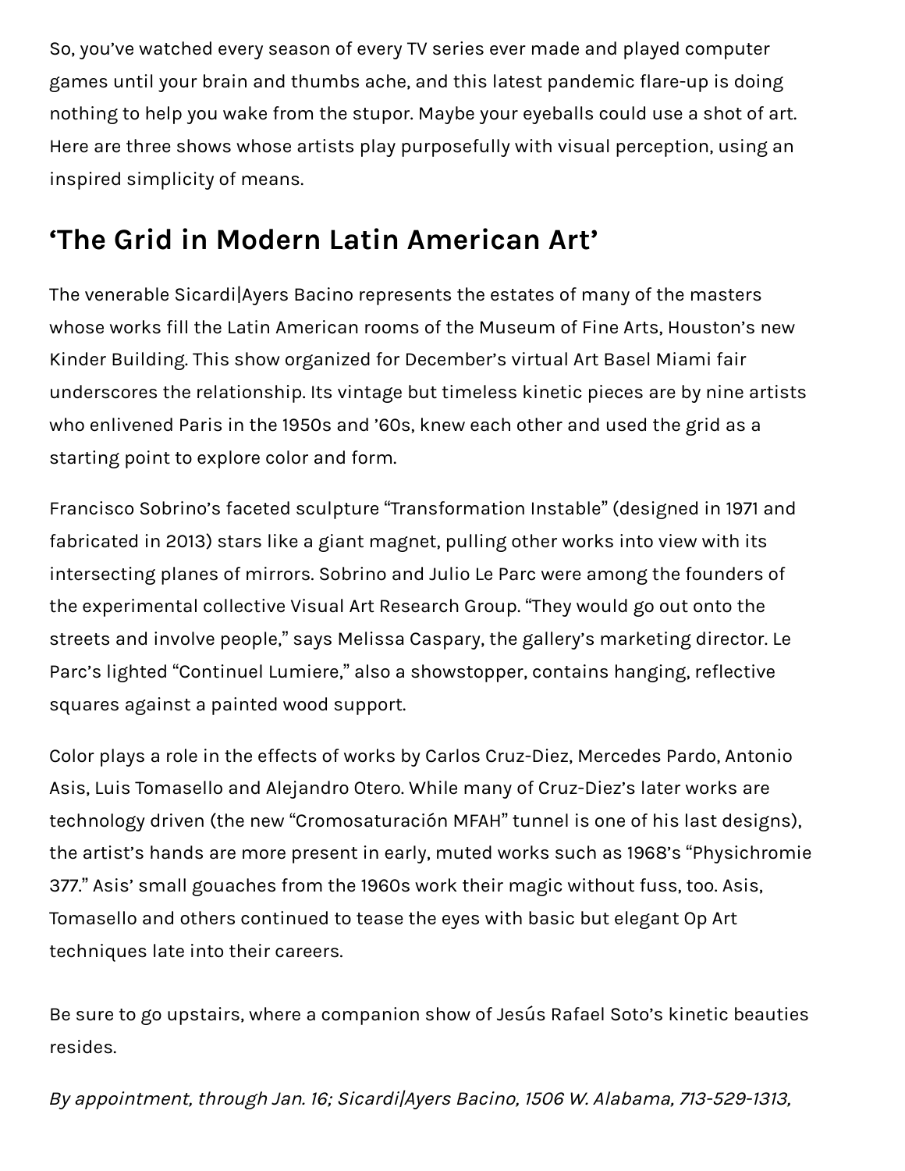So, you've watched every season of every TV series ever made and played computer games until your brain and thumbs ache, and this latest pandemic flare-up is doing nothing to help you wake from the stupor. Maybe your eyeballs could use a shot of art. Here are three shows whose artists play purposefully with visual perception, using an inspired simplicity of means.

## **'The Grid in Modern Latin American Art'**

The venerable Sicardi|Ayers Bacino represents the estates of many of the masters whose works fill the Latin American rooms of the Museum of Fine Arts, Houston's new Kinder Building. This show organized for December's virtual Art Basel Miami fair underscores the relationship. Its vintage but timeless kinetic pieces are by nine artists who enlivened Paris in the 1950s and '60s, knew each other and used the grid as a starting point to explore color and form.

Francisco Sobrino's faceted sculpture "Transformation Instable" (designed in 1971 and fabricated in 2013) stars like a giant magnet, pulling other works into view with its intersecting planes of mirrors. Sobrino and Julio Le Parc were among the founders of the experimental collective Visual Art Research Group. "They would go out onto the streets and involve people," says Melissa Caspary, the gallery's marketing director. Le Parc's lighted "Continuel Lumiere," also a showstopper, contains hanging, reflective squares against a painted wood support.

Color plays a role in the effects of works by Carlos Cruz-Diez, Mercedes Pardo, Antonio Asis, Luis Tomasello and Alejandro Otero. While many of Cruz-Diez's later works are technology driven (the new "Cromosaturación MFAH" tunnel is one of his last designs), the artist's hands are more present in early, muted works such as 1968's "Physichromie 377." Asis' small gouaches from the 1960s work their magic without fuss, too. Asis, Tomasello and others continued to tease the eyes with basic but elegant Op Art techniques late into their careers.

Be sure to go upstairs, where a companion show of Jesús Rafael Soto's kinetic beauties resides.

By appointment, through Jan. 16; Sicardi|Ayers Bacino, 1506 W. Alabama, 713-529-1313,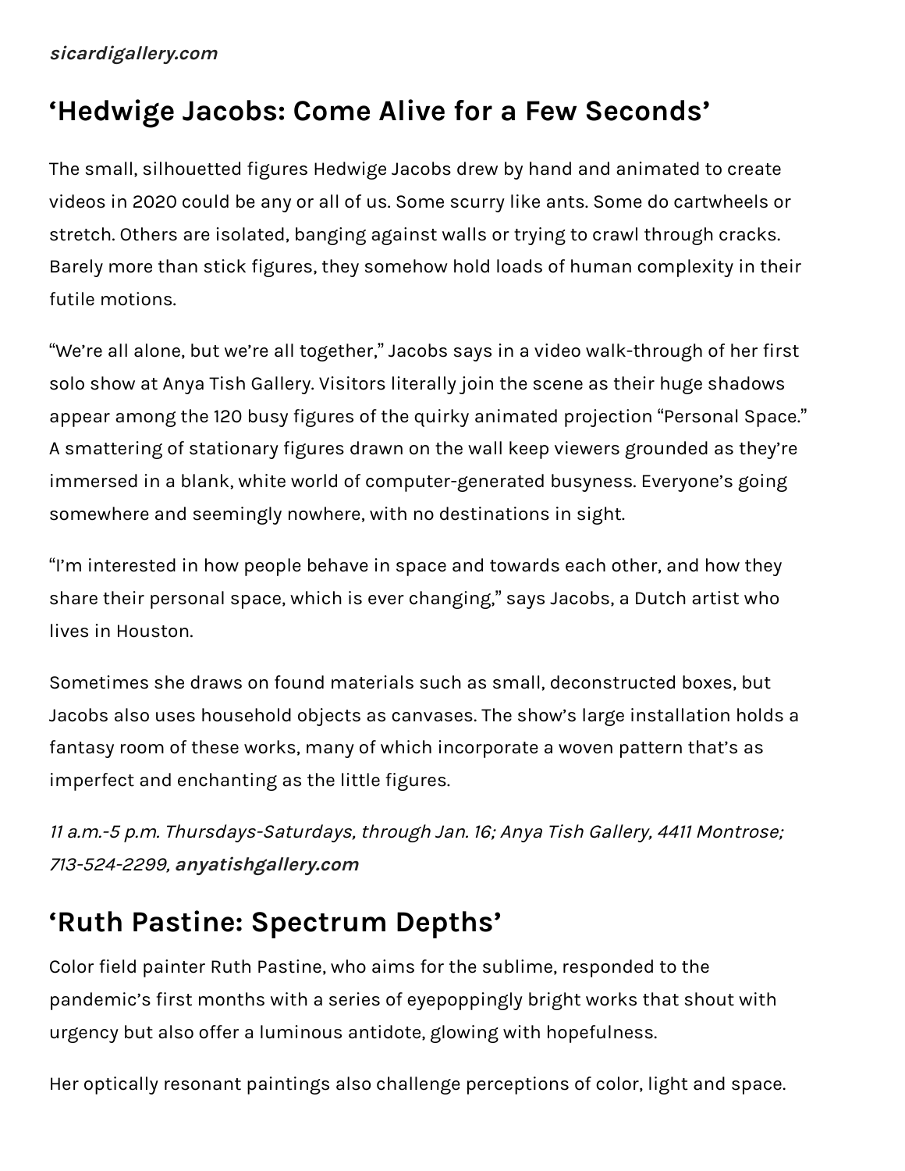#### **[sicardigallery.com](https://www.sicardi.com/exhibitions/the-grid-in-modern-latin-american-art)**

#### **'Hedwige Jacobs: Come Alive for a Few Seconds'**

The small, silhouetted figures Hedwige Jacobs drew by hand and animated to create videos in 2020 could be any or all of us. Some scurry like ants. Some do cartwheels or stretch. Others are isolated, banging against walls or trying to crawl through cracks. Barely more than stick figures, they somehow hold loads of human complexity in their futile motions.

"We're all alone, but we're all together," Jacobs says in a video walk-through of her first solo show at Anya Tish Gallery. Visitors literally join the scene as their huge shadows appear among the 120 busy figures of the quirky animated projection "Personal Space." A smattering of stationary figures drawn on the wall keep viewers grounded as they're immersed in a blank, white world of computer-generated busyness. Everyone's going somewhere and seemingly nowhere, with no destinations in sight.

"I'm interested in how people behave in space and towards each other, and how they share their personal space, which is ever changing," says Jacobs, a Dutch artist who lives in Houston.

Sometimes she draws on found materials such as small, deconstructed boxes, but Jacobs also uses household objects as canvases. The show's large installation holds a fantasy room of these works, many of which incorporate a woven pattern that's as imperfect and enchanting as the little figures.

11 a.m.-5 p.m. Thursdays-Saturdays, through Jan. 16; Anya Tish Gallery, 4411 Montrose; 713-524-2299, **[anyatishgallery.com](http://anyatishgallery.com/content/hedwige-jacobs)**

## **'Ruth Pastine: Spectrum Depths'**

Color field painter Ruth Pastine, who aims for the sublime, responded to the pandemic's first months with a series of eyepoppingly bright works that shout with urgency but also offer a luminous antidote, glowing with hopefulness.

Her optically resonant paintings also challenge perceptions of color, light and space.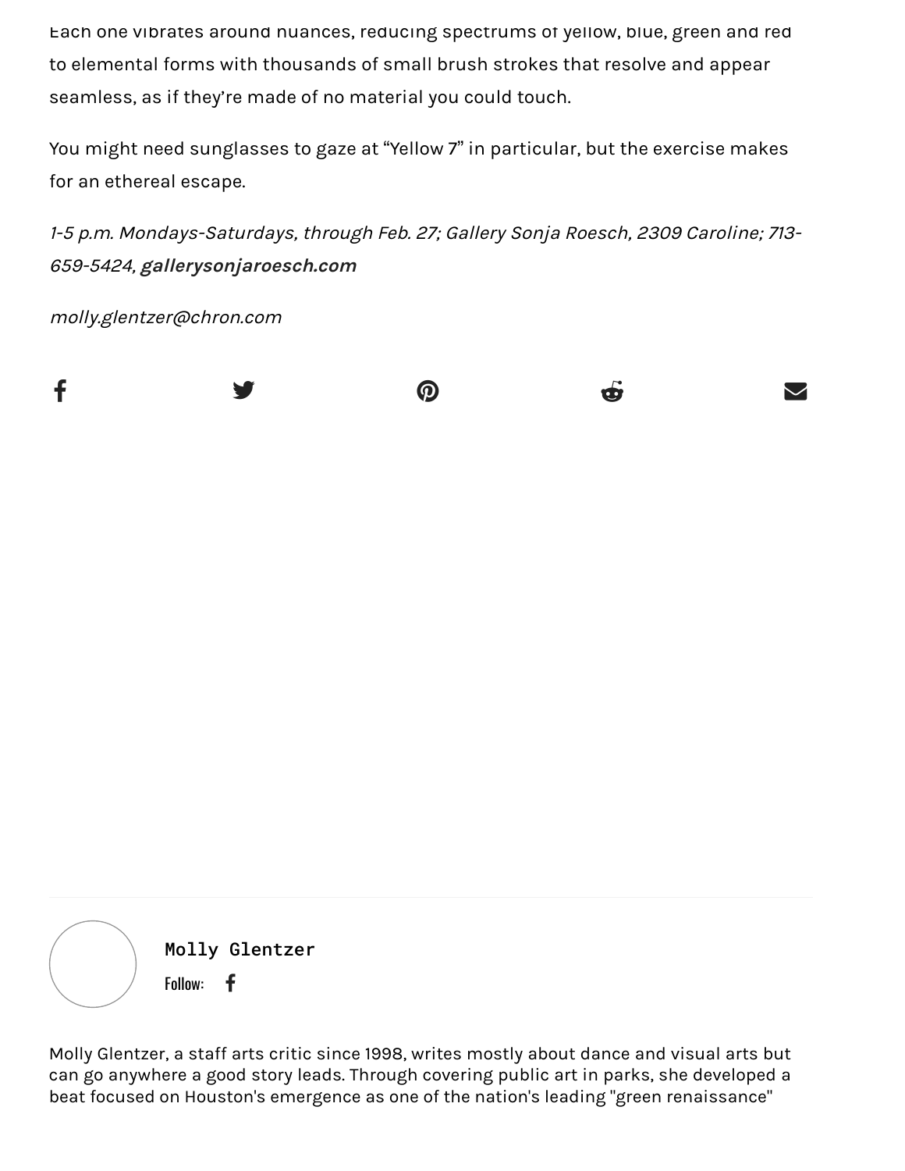Each one vibrates around nuances, reducing spectrums of yellow, blue, green and red to elemental forms with thousands of small brush strokes that resolve and appear seamless, as if they're made of no material you could touch.

You might need sunglasses to gaze at "Yellow 7" in particular, but the exercise makes for an ethereal escape.

1-5 p.m. Mondays-Saturdays, through Feb. 27; Gallery Sonja Roesch, 2309 Caroline; 713- 659-5424, **[gallerysonjaroesch.com](https://www.gallerysonjaroesch.com/)**

molly.glentzer@chron.com



Molly Glentzer Follow:  $\mathbf f$ 

Molly Glentzer, a staff arts critic since 1998, writes mostly about dance and visual arts but can go anywhere a good story leads. Through covering public art in parks, she developed a beat focused on Houston's emergence as one of the nation's leading "green renaissance"